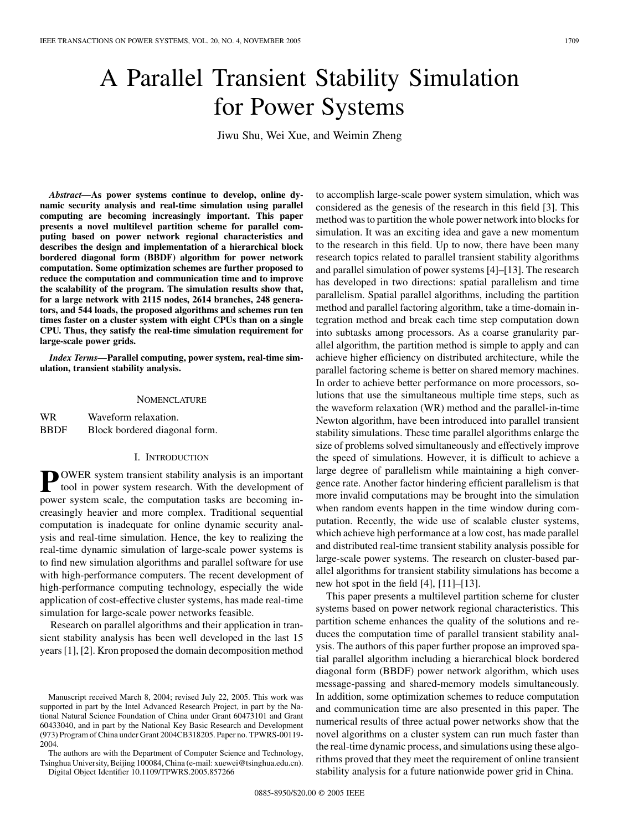# A Parallel Transient Stability Simulation for Power Systems

Jiwu Shu, Wei Xue, and Weimin Zheng

*Abstract—***As power systems continue to develop, online dynamic security analysis and real-time simulation using parallel computing are becoming increasingly important. This paper presents a novel multilevel partition scheme for parallel computing based on power network regional characteristics and describes the design and implementation of a hierarchical block bordered diagonal form (BBDF) algorithm for power network computation. Some optimization schemes are further proposed to reduce the computation and communication time and to improve the scalability of the program. The simulation results show that, for a large network with 2115 nodes, 2614 branches, 248 generators, and 544 loads, the proposed algorithms and schemes run ten times faster on a cluster system with eight CPUs than on a single CPU. Thus, they satisfy the real-time simulation requirement for large-scale power grids.**

*Index Terms—***Parallel computing, power system, real-time simulation, transient stability analysis.**

#### **NOMENCLATURE**

WR Waveform relaxation. BBDF Block bordered diagonal form.

#### I. INTRODUCTION

**P** OWER system transient stability analysis is an important tool in power system research. With the development of power system scale, the computation tasks are becoming increasingly heavier and more complex. Traditional sequential computation is inadequate for online dynamic security analysis and real-time simulation. Hence, the key to realizing the real-time dynamic simulation of large-scale power systems is to find new simulation algorithms and parallel software for use with high-performance computers. The recent development of high-performance computing technology, especially the wide application of cost-effective cluster systems, has made real-time simulation for large-scale power networks feasible.

Research on parallel algorithms and their application in transient stability analysis has been well developed in the last 15 years [\[1](#page-8-0)], [\[2](#page-8-0)]. Kron proposed the domain decomposition method

The authors are with the Department of Computer Science and Technology, Tsinghua University, Beijing 100084, China (e-mail: xuewei@tsinghua.edu.cn).

Digital Object Identifier 10.1109/TPWRS.2005.857266

to accomplish large-scale power system simulation, which was considered as the genesis of the research in this field [[3\]](#page-8-0). This method was to partition the whole power network into blocks for simulation. It was an exciting idea and gave a new momentum to the research in this field. Up to now, there have been many research topics related to parallel transient stability algorithms and parallel simulation of power systems [\[4](#page-8-0)]–[[13\]](#page-8-0). The research has developed in two directions: spatial parallelism and time parallelism. Spatial parallel algorithms, including the partition method and parallel factoring algorithm, take a time-domain integration method and break each time step computation down into subtasks among processors. As a coarse granularity parallel algorithm, the partition method is simple to apply and can achieve higher efficiency on distributed architecture, while the parallel factoring scheme is better on shared memory machines. In order to achieve better performance on more processors, solutions that use the simultaneous multiple time steps, such as the waveform relaxation (WR) method and the parallel-in-time Newton algorithm, have been introduced into parallel transient stability simulations. These time parallel algorithms enlarge the size of problems solved simultaneously and effectively improve the speed of simulations. However, it is difficult to achieve a large degree of parallelism while maintaining a high convergence rate. Another factor hindering efficient parallelism is that more invalid computations may be brought into the simulation when random events happen in the time window during computation. Recently, the wide use of scalable cluster systems, which achieve high performance at a low cost, has made parallel and distributed real-time transient stability analysis possible for large-scale power systems. The research on cluster-based parallel algorithms for transient stability simulations has become a new hot spot in the field [\[4](#page-8-0)], [[11\]](#page-8-0)–[[13\]](#page-8-0).

This paper presents a multilevel partition scheme for cluster systems based on power network regional characteristics. This partition scheme enhances the quality of the solutions and reduces the computation time of parallel transient stability analysis. The authors of this paper further propose an improved spatial parallel algorithm including a hierarchical block bordered diagonal form (BBDF) power network algorithm, which uses message-passing and shared-memory models simultaneously. In addition, some optimization schemes to reduce computation and communication time are also presented in this paper. The numerical results of three actual power networks show that the novel algorithms on a cluster system can run much faster than the real-time dynamic process, and simulations using these algorithms proved that they meet the requirement of online transient stability analysis for a future nationwide power grid in China.

Manuscript received March 8, 2004; revised July 22, 2005. This work was supported in part by the Intel Advanced Research Project, in part by the National Natural Science Foundation of China under Grant 60473101 and Grant 60433040, and in part by the National Key Basic Research and Development (973) Program of China under Grant 2004CB318205. Paper no. TPWRS-00119- 2004.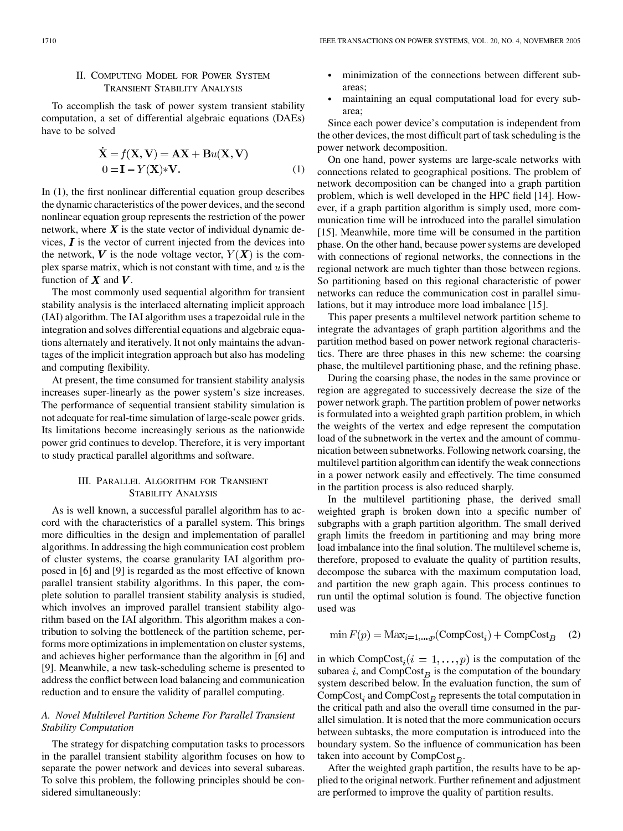# II. COMPUTING MODEL FOR POWER SYSTEM TRANSIENT STABILITY ANALYSIS

To accomplish the task of power system transient stability computation, a set of differential algebraic equations (DAEs) have to be solved

$$
\mathbf{X} = f(\mathbf{X}, \mathbf{V}) = \mathbf{A}\mathbf{X} + \mathbf{B}u(\mathbf{X}, \mathbf{V})
$$
  
0 =  $\mathbf{I} - Y(\mathbf{X})*\mathbf{V}$ . (1)

In (1), the first nonlinear differential equation group describes the dynamic characteristics of the power devices, and the second nonlinear equation group represents the restriction of the power network, where  $\boldsymbol{X}$  is the state vector of individual dynamic devices,  $\boldsymbol{I}$  is the vector of current injected from the devices into the network, V is the node voltage vector,  $Y(X)$  is the complex sparse matrix, which is not constant with time, and  $u$  is the function of  $X$  and  $V$ .

The most commonly used sequential algorithm for transient stability analysis is the interlaced alternating implicit approach (IAI) algorithm. The IAI algorithm uses a trapezoidal rule in the integration and solves differential equations and algebraic equations alternately and iteratively. It not only maintains the advantages of the implicit integration approach but also has modeling and computing flexibility.

At present, the time consumed for transient stability analysis increases super-linearly as the power system's size increases. The performance of sequential transient stability simulation is not adequate for real-time simulation of large-scale power grids. Its limitations become increasingly serious as the nationwide power grid continues to develop. Therefore, it is very important to study practical parallel algorithms and software.

## III. PARALLEL ALGORITHM FOR TRANSIENT STABILITY ANALYSIS

As is well known, a successful parallel algorithm has to accord with the characteristics of a parallel system. This brings more difficulties in the design and implementation of parallel algorithms. In addressing the high communication cost problem of cluster systems, the coarse granularity IAI algorithm proposed in [\[6](#page-8-0)] and [[9\]](#page-8-0) is regarded as the most effective of known parallel transient stability algorithms. In this paper, the complete solution to parallel transient stability analysis is studied, which involves an improved parallel transient stability algorithm based on the IAI algorithm. This algorithm makes a contribution to solving the bottleneck of the partition scheme, performs more optimizations in implementation on cluster systems, and achieves higher performance than the algorithm in [\[6](#page-8-0)] and [[9\]](#page-8-0). Meanwhile, a new task-scheduling scheme is presented to address the conflict between load balancing and communication reduction and to ensure the validity of parallel computing.

## *A. Novel Multilevel Partition Scheme For Parallel Transient Stability Computation*

The strategy for dispatching computation tasks to processors in the parallel transient stability algorithm focuses on how to separate the power network and devices into several subareas. To solve this problem, the following principles should be considered simultaneously:

- minimization of the connections between different subareas;
- maintaining an equal computational load for every subarea;

Since each power device's computation is independent from the other devices, the most difficult part of task scheduling is the power network decomposition.

On one hand, power systems are large-scale networks with connections related to geographical positions. The problem of network decomposition can be changed into a graph partition problem, which is well developed in the HPC field [[14\]](#page-8-0). However, if a graph partition algorithm is simply used, more communication time will be introduced into the parallel simulation [[15\]](#page-8-0). Meanwhile, more time will be consumed in the partition phase. On the other hand, because power systems are developed with connections of regional networks, the connections in the regional network are much tighter than those between regions. So partitioning based on this regional characteristic of power networks can reduce the communication cost in parallel simulations, but it may introduce more load imbalance [[15\]](#page-8-0).

This paper presents a multilevel network partition scheme to integrate the advantages of graph partition algorithms and the partition method based on power network regional characteristics. There are three phases in this new scheme: the coarsing phase, the multilevel partitioning phase, and the refining phase.

During the coarsing phase, the nodes in the same province or region are aggregated to successively decrease the size of the power network graph. The partition problem of power networks is formulated into a weighted graph partition problem, in which the weights of the vertex and edge represent the computation load of the subnetwork in the vertex and the amount of communication between subnetworks. Following network coarsing, the multilevel partition algorithm can identify the weak connections in a power network easily and effectively. The time consumed in the partition process is also reduced sharply.

In the multilevel partitioning phase, the derived small weighted graph is broken down into a specific number of subgraphs with a graph partition algorithm. The small derived graph limits the freedom in partitioning and may bring more load imbalance into the final solution. The multilevel scheme is, therefore, proposed to evaluate the quality of partition results, decompose the subarea with the maximum computation load, and partition the new graph again. This process continues to run until the optimal solution is found. The objective function used was

$$
\min F(p) = \text{Max}_{i=1,\dots,p}(\text{CompCost}_i) + \text{CompCost}_B \quad (2)
$$

in which CompCost<sub>i</sub> $(i = 1, \ldots, p)$  is the computation of the subarea i, and  $CompCost<sub>B</sub>$  is the computation of the boundary system described below. In the evaluation function, the sum of CompCost<sub>i</sub> and CompCost<sub>B</sub> represents the total computation in the critical path and also the overall time consumed in the parallel simulation. It is noted that the more communication occurs between subtasks, the more computation is introduced into the boundary system. So the influence of communication has been taken into account by  $CompCost_B$ .

After the weighted graph partition, the results have to be applied to the original network. Further refinement and adjustment are performed to improve the quality of partition results.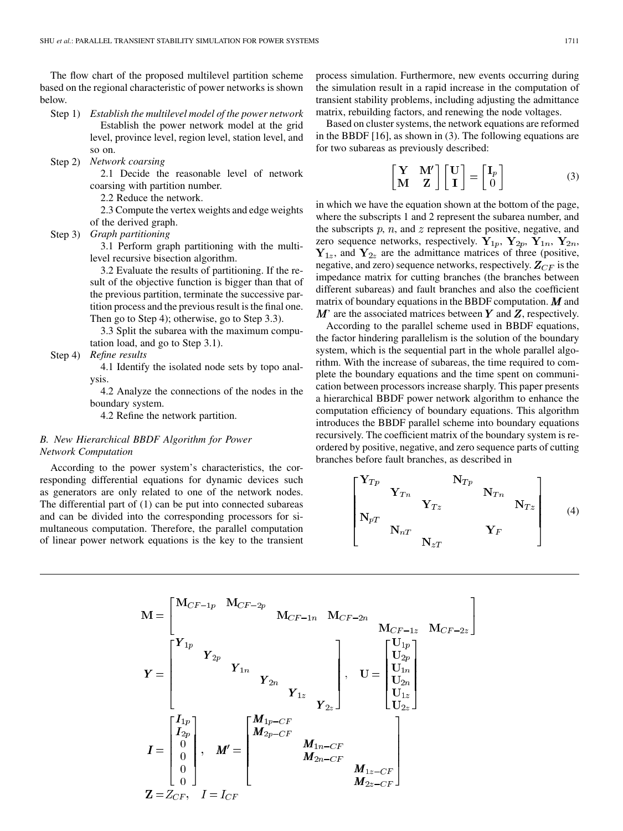The flow chart of the proposed multilevel partition scheme based on the regional characteristic of power networks is shown below.

- Step 1) *Establish the multilevel model of the power network* Establish the power network model at the grid level, province level, region level, station level, and so on.
- Step 2) *Network coarsing*

2.1 Decide the reasonable level of network coarsing with partition number.

- 2.2 Reduce the network.
- 2.3 Compute the vertex weights and edge weights of the derived graph.
- Step 3) *Graph partitioning*

3.1 Perform graph partitioning with the multilevel recursive bisection algorithm.

3.2 Evaluate the results of partitioning. If the result of the objective function is bigger than that of the previous partition, terminate the successive partition process and the previous result is the final one. Then go to Step 4); otherwise, go to Step 3.3).

3.3 Split the subarea with the maximum computation load, and go to Step 3.1).

Step 4) *Refine results*

4.1 Identify the isolated node sets by topo analysis.

4.2 Analyze the connections of the nodes in the boundary system.

4.2 Refine the network partition.

## *B. New Hierarchical BBDF Algorithm for Power Network Computation*

According to the power system's characteristics, the corresponding differential equations for dynamic devices such as generators are only related to one of the network nodes. The differential part of (1) can be put into connected subareas and can be divided into the corresponding processors for simultaneous computation. Therefore, the parallel computation of linear power network equations is the key to the transient process simulation. Furthermore, new events occurring during the simulation result in a rapid increase in the computation of transient stability problems, including adjusting the admittance matrix, rebuilding factors, and renewing the node voltages.

Based on cluster systems, the network equations are reformed in the BBDF [\[16](#page-8-0)], as shown in (3). The following equations are for two subareas as previously described:

$$
\begin{bmatrix} \mathbf{Y} & \mathbf{M}' \\ \mathbf{M} & \mathbf{Z} \end{bmatrix} \begin{bmatrix} \mathbf{U} \\ \mathbf{I} \end{bmatrix} = \begin{bmatrix} \mathbf{I}_p \\ 0 \end{bmatrix}
$$
 (3)

in which we have the equation shown at the bottom of the page, where the subscripts 1 and 2 represent the subarea number, and the subscripts  $p, n$ , and  $z$  represent the positive, negative, and zero sequence networks, respectively.  $Y_{1p}$ ,  $Y_{2p}$ ,  $Y_{1n}$ ,  $Y_{2n}$ ,  $Y_{1z}$ , and  $Y_{2z}$  are the admittance matrices of three (positive, negative, and zero) sequence networks, respectively.  $\mathbf{Z}_{CF}$  is the impedance matrix for cutting branches (the branches between different subareas) and fault branches and also the coefficient matrix of boundary equations in the BBDF computation.  $M$  and  $M'$  are the associated matrices between Y and Z, respectively.

According to the parallel scheme used in BBDF equations, the factor hindering parallelism is the solution of the boundary system, which is the sequential part in the whole parallel algorithm. With the increase of subareas, the time required to complete the boundary equations and the time spent on communication between processors increase sharply. This paper presents a hierarchical BBDF power network algorithm to enhance the computation efficiency of boundary equations. This algorithm introduces the BBDF parallel scheme into boundary equations recursively. The coefficient matrix of the boundary system is reordered by positive, negative, and zero sequence parts of cutting branches before fault branches, as described in

$$
\begin{bmatrix}\n\mathbf{Y}_{Tp} & \mathbf{N}_{Tp} & \mathbf{N}_{Tn} \\
\mathbf{Y}_{Tn} & \mathbf{Y}_{Tz} & \mathbf{N}_{Tn} \\
\mathbf{N}_{pT} & \mathbf{N}_{nT} & \mathbf{Y}_{F}\n\end{bmatrix}
$$
\n(4)

$$
M = \begin{bmatrix} M_{CF-1p} & M_{CF-2p} & M_{CF-1n} & M_{CF-2n} & M_{CF-1z} & M_{CF-2z} \end{bmatrix}
$$
  
\n
$$
Y = \begin{bmatrix} Y_{1p} & & & & \\ & Y_{2p} & & & \\ & & Y_{1n} & & \\ & & Y_{2n} & & \\ & & & Y_{1z} & \\ & & & & Y_{2z} \end{bmatrix}, U = \begin{bmatrix} U_{1p} \\ U_{2p} \\ U_{1n} \\ U_{1z} \\ U_{2z} \end{bmatrix}
$$
  
\n
$$
I = \begin{bmatrix} I_{1p} \\ I_{2p} \\ 0 \\ 0 \\ 0 \end{bmatrix}, M' = \begin{bmatrix} M_{1p-CF} & & & \\ M_{2p-CF} & & & \\ & M_{2n-CF} & M_{1z-CF} \\ & & M_{2z-CF} \end{bmatrix}
$$
  
\n
$$
Z = Z_{CF}, I = I_{CF}
$$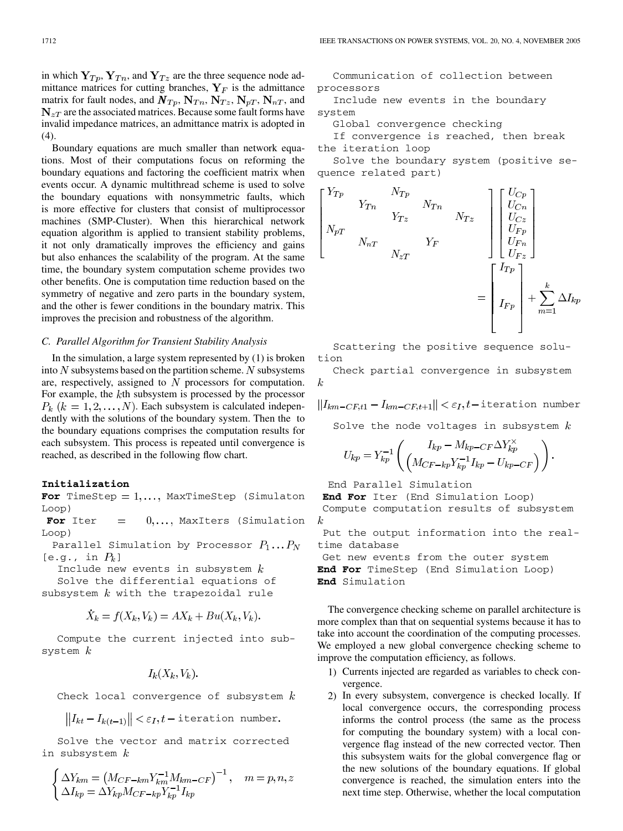in which  $Y_{T_p}, Y_{T_n}$ , and  $Y_{T_z}$  are the three sequence node admittance matrices for cutting branches,  $Y_F$  is the admittance matrix for fault nodes, and  $N_{Tp}$ ,  $N_{Tn}$ ,  $N_{rz}$ ,  $N_{pT}$ ,  $N_{nT}$ , and  $N_{zT}$  are the associated matrices. Because some fault forms have invalid impedance matrices, an admittance matrix is adopted in  $(4)$ .

Boundary equations are much smaller than network equations. Most of their computations focus on reforming the boundary equations and factoring the coefficient matrix when events occur. A dynamic multithread scheme is used to solve the boundary equations with nonsymmetric faults, which is more effective for clusters that consist of multiprocessor machines (SMP-Cluster). When this hierarchical network equation algorithm is applied to transient stability problems, it not only dramatically improves the efficiency and gains but also enhances the scalability of the program. At the same time, the boundary system computation scheme provides two other benefits. One is computation time reduction based on the symmetry of negative and zero parts in the boundary system, and the other is fewer conditions in the boundary matrix. This improves the precision and robustness of the algorithm.

## *C. Parallel Algorithm for Transient Stability Analysis*

In the simulation, a large system represented by (1) is broken into N subsystems based on the partition scheme. N subsystems are, respectively, assigned to  $N$  processors for computation. For example, the  $k$ th subsystem is processed by the processor  $P_k$  ( $k = 1, 2, \ldots, N$ ). Each subsystem is calculated independently with the solutions of the boundary system. Then the to the boundary equations comprises the computation results for each subsystem. This process is repeated until convergence is reached, as described in the following flow chart.

#### **Initialization**

For TimeStep =  $1, \ldots$ , MaxTimeStep (Simulaton Loop)

For Iter  $=$   $0, \ldots,$  MaxIters (Simulation Loop)

Parallel Simulation by Processor  $P_1 \dots P_N$ [e.g., in  $P_k$ ]

Include new events in subsystem  $k$ Solve the differential equations of subsystem  $k$  with the trapezoidal rule

$$
\dot{X}_k = f(X_k, V_k) = AX_k + Bu(X_k, V_k).
$$

Compute the current injected into subsystem  $k$ 

 $I_k(X_k, V_k)$ .

Check local convergence of subsystem  $k$ 

 $||I_{kt} - I_{k(t-1)}|| < \varepsilon_I, t$  - iteration number.

Solve the vector and matrix corrected in subsystem  $k$ 

$$
\begin{cases}\n\Delta Y_{km} = \left( M_{CF-km} Y_{km}^{-1} M_{km-CF} \right)^{-1}, & m = p, n, z \\
\Delta I_{kp} = \Delta Y_{kp} M_{CF-kp} Y_{kp}^{-1} I_{kp}\n\end{cases}
$$

Communication of collection between processors

Include new events in the boundary system

Global convergence checking

If convergence is reached, then break the iteration loop

Solve the boundary system (positive sequence related part)

$$
\begin{bmatrix}\nY_{Tp} & N_{Tp} & N_{Tp} \\
Y_{Tn} & Y_{Tz} & N_{Tn} \\
N_{pT} & & & \\
N_{nT} & Y_{F} & \\
N_{zT} & & & \\
\end{bmatrix}\n\begin{bmatrix}\nU_{Cp} \\
U_{Cn} \\
U_{Cz} \\
U_{Fn} \\
U_{Fn} \\
U_{Fz}\n\end{bmatrix}
$$
\n
$$
= \begin{bmatrix}\nI_{Tp} \\
I_{Tp} \\
I_{Fp} \\
I_{Fp}\n\end{bmatrix} + \sum_{m=1}^{k} \Delta I_{kp}
$$

Scattering the positive sequence solution

Check partial convergence in subsystem  $\boldsymbol{k}$ 

 $||I_{km-CF,t1}-I_{km-CF,t+1}|| < \varepsilon_I,t$ -iteration number

Solve the node voltages in subsystem  $k$ 

$$
U_{kp} = Y_{kp}^{-1} \left( \frac{I_{kp} - M_{kp-CF} \Delta Y_{kp}^{\times}}{\left( M_{CF-kp} Y_{kp}^{-1} I_{kp} - U_{kp-CF} \right)} \right).
$$

End Parallel Simulation

**End For** Iter (End Simulation Loop) Compute computation results of subsystem

 $\boldsymbol{k}$ 

Put the output information into the realtime database

Get new events from the outer system **End For** TimeStep (End Simulation Loop) **End** Simulation

The convergence checking scheme on parallel architecture is more complex than that on sequential systems because it has to take into account the coordination of the computing processes. We employed a new global convergence checking scheme to improve the computation efficiency, as follows.

- 1) Currents injected are regarded as variables to check convergence.
- 2) In every subsystem, convergence is checked locally. If local convergence occurs, the corresponding process informs the control process (the same as the process for computing the boundary system) with a local convergence flag instead of the new corrected vector. Then this subsystem waits for the global convergence flag or the new solutions of the boundary equations. If global convergence is reached, the simulation enters into the next time step. Otherwise, whether the local computation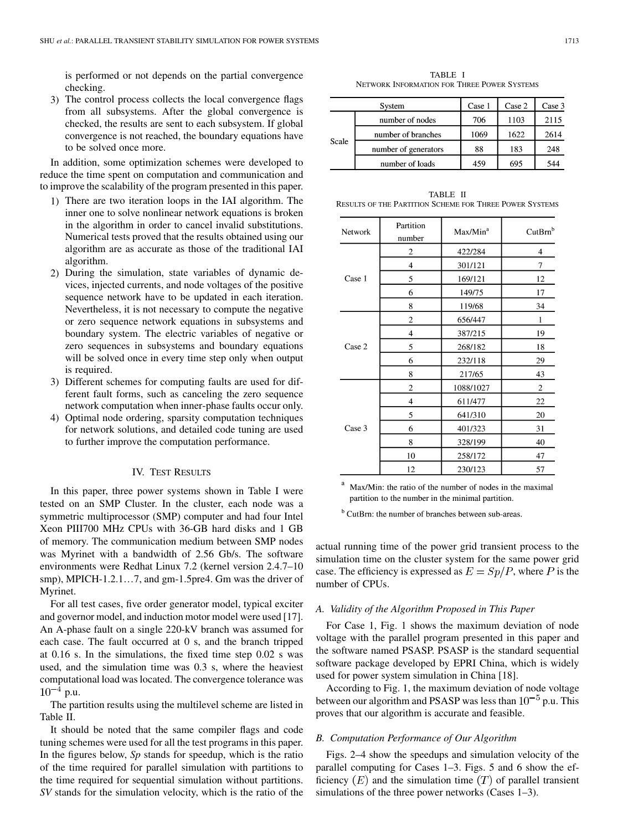is performed or not depends on the partial convergence checking.

3) The control process collects the local convergence flags from all subsystems. After the global convergence is checked, the results are sent to each subsystem. If global convergence is not reached, the boundary equations have to be solved once more.

In addition, some optimization schemes were developed to reduce the time spent on computation and communication and to improve the scalability of the program presented in this paper.

- 1) There are two iteration loops in the IAI algorithm. The inner one to solve nonlinear network equations is broken in the algorithm in order to cancel invalid substitutions. Numerical tests proved that the results obtained using our algorithm are as accurate as those of the traditional IAI algorithm.
- 2) During the simulation, state variables of dynamic devices, injected currents, and node voltages of the positive sequence network have to be updated in each iteration. Nevertheless, it is not necessary to compute the negative or zero sequence network equations in subsystems and boundary system. The electric variables of negative or zero sequences in subsystems and boundary equations will be solved once in every time step only when output is required.
- 3) Different schemes for computing faults are used for different fault forms, such as canceling the zero sequence network computation when inner-phase faults occur only.
- 4) Optimal node ordering, sparsity computation techniques for network solutions, and detailed code tuning are used to further improve the computation performance.

### IV. TEST RESULTS

In this paper, three power systems shown in Table I were tested on an SMP Cluster. In the cluster, each node was a symmetric multiprocessor (SMP) computer and had four Intel Xeon PIII700 MHz CPUs with 36-GB hard disks and 1 GB of memory. The communication medium between SMP nodes was Myrinet with a bandwidth of 2.56 Gb/s. The software environments were Redhat Linux 7.2 (kernel version 2.4.7–10 smp), MPICH-1.2.1…7, and gm-1.5pre4. Gm was the driver of Myrinet.

For all test cases, five order generator model, typical exciter and governor model, and induction motor model were used [\[17](#page-8-0)]. An A-phase fault on a single 220-kV branch was assumed for each case. The fault occurred at 0 s, and the branch tripped at 0.16 s. In the simulations, the fixed time step 0.02 s was used, and the simulation time was 0.3 s, where the heaviest computational load was located. The convergence tolerance was  $10^{-4}$  p.u.

The partition results using the multilevel scheme are listed in Table II.

It should be noted that the same compiler flags and code tuning schemes were used for all the test programs in this paper. In the figures below, *Sp* stands for speedup, which is the ratio of the time required for parallel simulation with partitions to the time required for sequential simulation without partitions. *SV* stands for the simulation velocity, which is the ratio of the

TABLE I NETWORK INFORMATION FOR THREE POWER SYSTEMS

|       | System               | Case 1 | Case 2 | Case 3 |
|-------|----------------------|--------|--------|--------|
| Scale | number of nodes      | 706    | 1103   | 2115   |
|       | number of branches   | 1069   | 1622   | 2614   |
|       | number of generators | 88     | 183    | 248    |
|       | number of loads      | 459    | 695    | 544    |

TABLE II RESULTS OF THE PARTITION SCHEME FOR THREE POWER SYSTEMS

| <b>Network</b> | Partition<br>number     | Max/Min <sup>a</sup> | CutBrn <sup>b</sup> |
|----------------|-------------------------|----------------------|---------------------|
|                | $\overline{2}$          | 422/284              | $\overline{4}$      |
|                | 4                       | 301/121              | 7                   |
| Case 1         | 5                       | 169/121              | 12                  |
|                | 6                       | 149/75               | 17                  |
|                | 8                       | 119/68               | 34                  |
|                | $\overline{2}$          | 656/447              | 1                   |
|                | 4                       | 387/215              | 19                  |
| Case 2         | 5                       | 268/182              | 18                  |
|                | 6                       | 232/118              | 29                  |
|                | 8                       | 217/65               | 43                  |
|                | $\overline{2}$          | 1088/1027            | 2                   |
|                | $\overline{\mathbf{4}}$ | 611/477              | 22                  |
|                | 5                       | 641/310              | 20                  |
| Case 3         | 6                       | 401/323              | 31                  |
|                | 8                       | 328/199              | 40                  |
|                | 10                      | 258/172              | 47                  |
|                | 12                      | 230/123              | 57                  |

<sup>a</sup> Max/Min: the ratio of the number of nodes in the maximal partition to the number in the minimal partition.

<sup>b</sup> CutBrn: the number of branches between sub-areas.

actual running time of the power grid transient process to the simulation time on the cluster system for the same power grid case. The efficiency is expressed as  $E = Sp/P$ , where P is the number of CPUs.

## *A. Validity of the Algorithm Proposed in This Paper*

For Case 1, Fig. 1 shows the maximum deviation of node voltage with the parallel program presented in this paper and the software named PSASP. PSASP is the standard sequential software package developed by EPRI China, which is widely used for power system simulation in China [[18\]](#page-8-0).

According to Fig. 1, the maximum deviation of node voltage between our algorithm and PSASP was less than  $10^{-5}$  p.u. This proves that our algorithm is accurate and feasible.

## *B. Computation Performance of Our Algorithm*

Figs. 2–4 show the speedups and simulation velocity of the parallel computing for Cases 1–3. Figs. 5 and 6 show the efficiency  $(E)$  and the simulation time  $(T)$  of parallel transient simulations of the three power networks (Cases 1–3).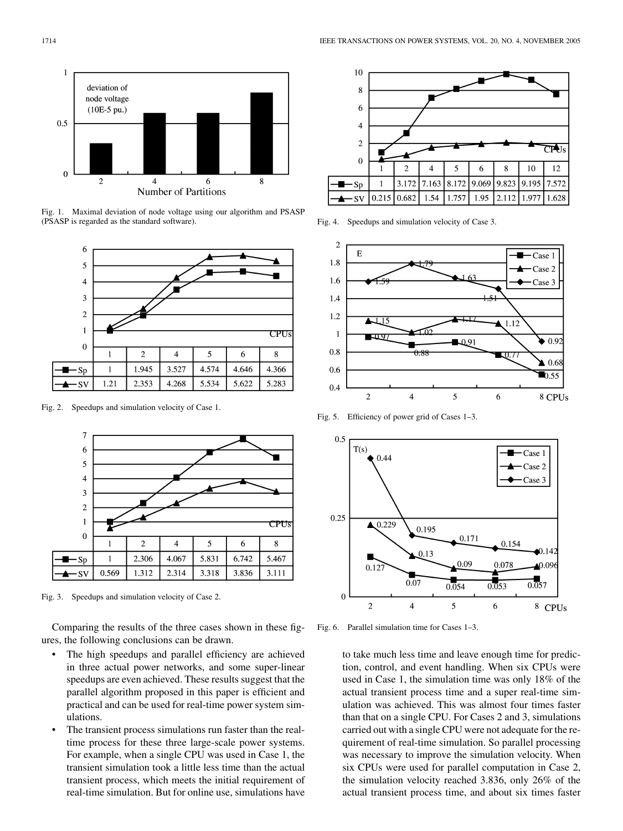

Fig. 1. Maximal deviation of node voltage using our algorithm and PSASP (PSASP is regarded as the standard software).



Fig. 2. Speedups and simulation velocity of Case 1.



Fig. 3. Speedups and simulation velocity of Case 2.

Comparing the results of the three cases shown in these figures, the following conclusions can be drawn.

- The high speedups and parallel efficiency are achieved in three actual power networks, and some super-linear speedups are even achieved. These results suggest that the parallel algorithm proposed in this paper is efficient and practical and can be used for real-time power system simulations.
- The transient process simulations run faster than the realtime process for these three large-scale power systems. For example, when a single CPU was used in Case 1, the transient simulation took a little less time than the actual transient process, which meets the initial requirement of real-time simulation. But for online use, simulations have



Fig. 4. Speedups and simulation velocity of Case 3.



Fig. 5. Efficiency of power grid of Cases 1–3.



Fig. 6. Parallel simulation time for Cases 1–3.

to take much less time and leave enough time for prediction, control, and event handling. When six CPUs were used in Case 1, the simulation time was only 18% of the actual transient process time and a super real-time simulation was achieved. This was almost four times faster than that on a single CPU. For Cases 2 and 3, simulations carried out with a single CPU were not adequate for the requirement of real-time simulation. So parallel processing was necessary to improve the simulation velocity. When six CPUs were used for parallel computation in Case 2, the simulation velocity reached 3.836, only 26% of the actual transient process time, and about six times faster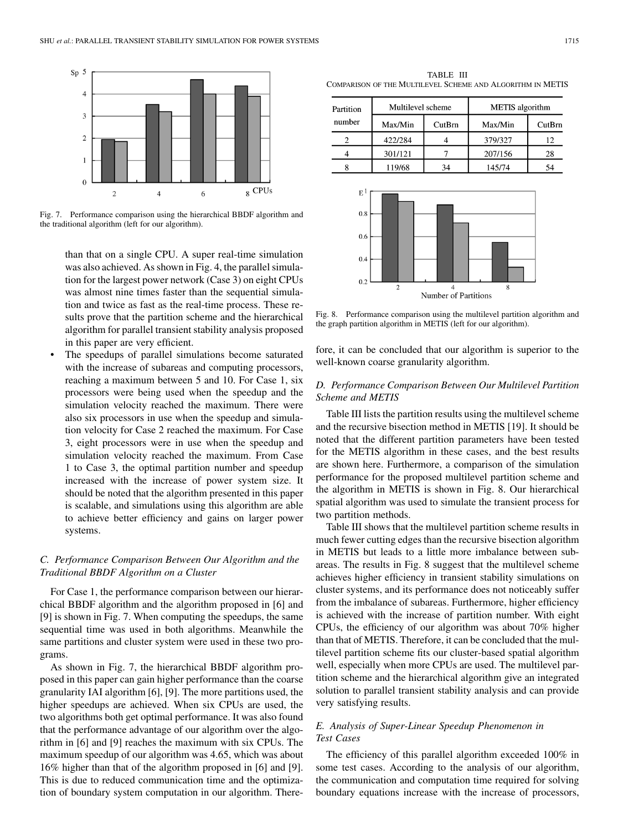

Fig. 7. Performance comparison using the hierarchical BBDF algorithm and the traditional algorithm (left for our algorithm).

than that on a single CPU. A super real-time simulation was also achieved. As shown in Fig. 4, the parallel simulation for the largest power network (Case 3) on eight CPUs was almost nine times faster than the sequential simulation and twice as fast as the real-time process. These results prove that the partition scheme and the hierarchical algorithm for parallel transient stability analysis proposed in this paper are very efficient.

The speedups of parallel simulations become saturated with the increase of subareas and computing processors, reaching a maximum between 5 and 10. For Case 1, six processors were being used when the speedup and the simulation velocity reached the maximum. There were also six processors in use when the speedup and simulation velocity for Case 2 reached the maximum. For Case 3, eight processors were in use when the speedup and simulation velocity reached the maximum. From Case 1 to Case 3, the optimal partition number and speedup increased with the increase of power system size. It should be noted that the algorithm presented in this paper is scalable, and simulations using this algorithm are able to achieve better efficiency and gains on larger power systems.

# *C. Performance Comparison Between Our Algorithm and the Traditional BBDF Algorithm on a Cluster*

For Case 1, the performance comparison between our hierarchical BBDF algorithm and the algorithm proposed in [\[6](#page-8-0)] and [\[9](#page-8-0)] is shown in Fig. 7. When computing the speedups, the same sequential time was used in both algorithms. Meanwhile the same partitions and cluster system were used in these two programs.

As shown in Fig. 7, the hierarchical BBDF algorithm proposed in this paper can gain higher performance than the coarse granularity IAI algorithm [\[6](#page-8-0)], [[9\]](#page-8-0). The more partitions used, the higher speedups are achieved. When six CPUs are used, the two algorithms both get optimal performance. It was also found that the performance advantage of our algorithm over the algorithm in [\[6](#page-8-0)] and [\[9](#page-8-0)] reaches the maximum with six CPUs. The maximum speedup of our algorithm was 4.65, which was about 16% higher than that of the algorithm proposed in [[6\]](#page-8-0) and [\[9](#page-8-0)]. This is due to reduced communication time and the optimization of boundary system computation in our algorithm. There-

TABLE III COMPARISON OF THE MULTILEVEL SCHEME AND ALGORITHM IN METIS

| Partition | Multilevel scheme |        | <b>METIS</b> algorithm |        |
|-----------|-------------------|--------|------------------------|--------|
| number    | Max/Min           | CutBrn | Max/Min                | CutBrn |
|           | 422/284           |        | 379/327                | 12     |
|           | 301/121           |        | 207/156                | 28     |
|           | 119/68            | 34     | 145/74                 | 54     |



Fig. 8. Performance comparison using the multilevel partition algorithm and the graph partition algorithm in METIS (left for our algorithm).

fore, it can be concluded that our algorithm is superior to the well-known coarse granularity algorithm.

# *D. Performance Comparison Between Our Multilevel Partition Scheme and METIS*

Table III lists the partition results using the multilevel scheme and the recursive bisection method in METIS [\[19](#page-8-0)]. It should be noted that the different partition parameters have been tested for the METIS algorithm in these cases, and the best results are shown here. Furthermore, a comparison of the simulation performance for the proposed multilevel partition scheme and the algorithm in METIS is shown in Fig. 8. Our hierarchical spatial algorithm was used to simulate the transient process for two partition methods.

Table III shows that the multilevel partition scheme results in much fewer cutting edges than the recursive bisection algorithm in METIS but leads to a little more imbalance between subareas. The results in Fig. 8 suggest that the multilevel scheme achieves higher efficiency in transient stability simulations on cluster systems, and its performance does not noticeably suffer from the imbalance of subareas. Furthermore, higher efficiency is achieved with the increase of partition number. With eight CPUs, the efficiency of our algorithm was about 70% higher than that of METIS. Therefore, it can be concluded that the multilevel partition scheme fits our cluster-based spatial algorithm well, especially when more CPUs are used. The multilevel partition scheme and the hierarchical algorithm give an integrated solution to parallel transient stability analysis and can provide very satisfying results.

# *E. Analysis of Super-Linear Speedup Phenomenon in Test Cases*

The efficiency of this parallel algorithm exceeded 100% in some test cases. According to the analysis of our algorithm, the communication and computation time required for solving boundary equations increase with the increase of processors,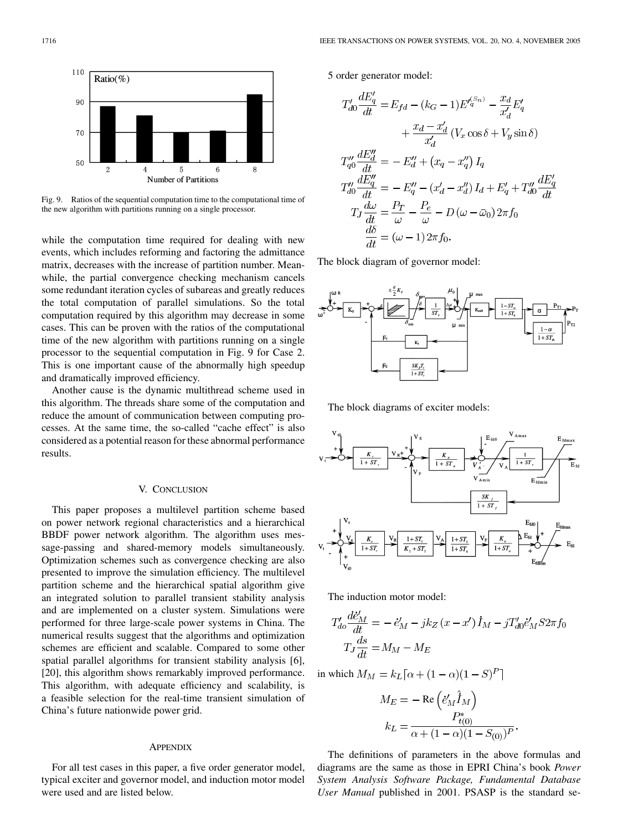

Fig. 9. Ratios of the sequential computation time to the computational time of the new algorithm with partitions running on a single processor.

while the computation time required for dealing with new events, which includes reforming and factoring the admittance matrix, decreases with the increase of partition number. Meanwhile, the partial convergence checking mechanism cancels some redundant iteration cycles of subareas and greatly reduces the total computation of parallel simulations. So the total computation required by this algorithm may decrease in some cases. This can be proven with the ratios of the computational time of the new algorithm with partitions running on a single processor to the sequential computation in Fig. 9 for Case 2. This is one important cause of the abnormally high speedup and dramatically improved efficiency.

Another cause is the dynamic multithread scheme used in this algorithm. The threads share some of the computation and reduce the amount of communication between computing processes. At the same time, the so-called "cache effect" is also considered as a potential reason for these abnormal performance results.

### V. CONCLUSION

This paper proposes a multilevel partition scheme based on power network regional characteristics and a hierarchical BBDF power network algorithm. The algorithm uses message-passing and shared-memory models simultaneously. Optimization schemes such as convergence checking are also presented to improve the simulation efficiency. The multilevel partition scheme and the hierarchical spatial algorithm give an integrated solution to parallel transient stability analysis and are implemented on a cluster system. Simulations were performed for three large-scale power systems in China. The numerical results suggest that the algorithms and optimization schemes are efficient and scalable. Compared to some other spatial parallel algorithms for transient stability analysis [[6\]](#page-8-0), [[20\]](#page-8-0), this algorithm shows remarkably improved performance. This algorithm, with adequate efficiency and scalability, is a feasible selection for the real-time transient simulation of China's future nationwide power grid.

#### **APPENDIX**

For all test cases in this paper, a five order generator model, typical exciter and governor model, and induction motor model were used and are listed below.

5 order generator model:

$$
T'_{d0} \frac{dE'_q}{dt} = E_{fd} - (k_G - 1)E'^{(S_n)}_{q} - \frac{x_d}{x'_d}E'_q
$$
  
+ 
$$
\frac{x_d - x'_d}{x'_d} (V_x \cos \delta + V_y \sin \delta)
$$
  

$$
T''_{q0} \frac{dE''_d}{dt} = -E''_d + (x_q - x''_q) I_q
$$
  

$$
T''_{d0} \frac{dE''_q}{dt} = -E''_q - (x'_d - x''_d) I_d + E'_q + T''_{d0} \frac{dE'_q}{dt}
$$
  

$$
T_J \frac{d\omega}{dt} = \frac{P_T}{\omega} - \frac{P_e}{\omega} - D(\omega - \bar{\omega}_0) 2\pi f_0
$$
  

$$
\frac{d\delta}{dt} = (\omega - 1) 2\pi f_0.
$$

The block diagram of governor model:



The block diagrams of exciter models:



The induction motor model:

$$
T'_{do} \frac{d\dot{e}'_M}{dt} = -\dot{e}'_M - jk_Z(x - x')\dot{I}_M - jT'_{do}\dot{e}'_M S 2\pi f_0
$$

$$
T_J \frac{ds}{dt} = M_M - M_E
$$

in which  $M_M = k_L [\alpha + (1 - \alpha)(1 - S)^P]$ 

$$
M_E = -\operatorname{Re}\left(\dot{e}'_M \hat{I}_M\right)
$$

$$
k_L = \frac{P_{t(0)}^*}{\alpha + (1 - \alpha)(1 - S_{(0)})^P}
$$

The definitions of parameters in the above formulas and diagrams are the same as those in EPRI China's book *Power System Analysis Software Package, Fundamental Database User Manual* published in 2001. PSASP is the standard se